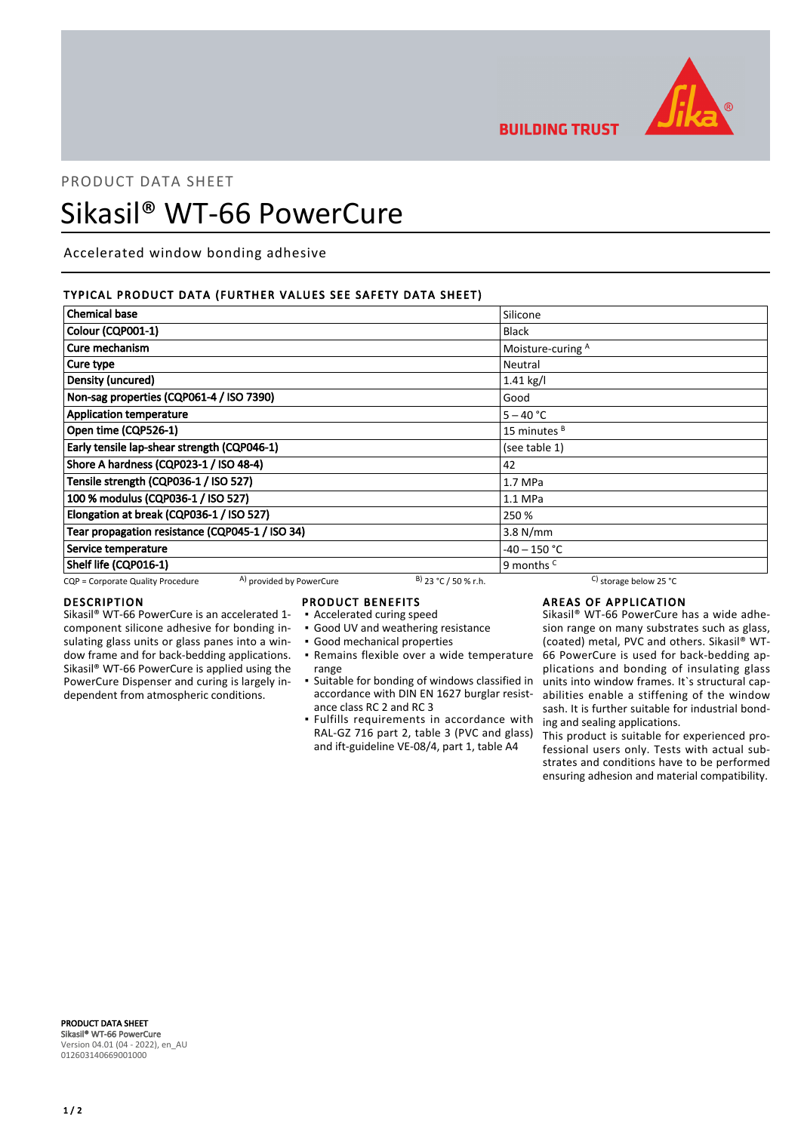

**BUILDING TRUST** 

# PRODUCT DATA SHEET Sikasil® WT-66 PowerCure

Accelerated window bonding adhesive

# TYPICAL PRODUCT DATA (FURTHER VALUES SEE SAFETY DATA SHEET)

| <b>Chemical base</b>                                          |                        | Silicone                         |  |
|---------------------------------------------------------------|------------------------|----------------------------------|--|
| Colour (CQP001-1)                                             |                        | <b>Black</b>                     |  |
| Cure mechanism                                                |                        | Moisture-curing A                |  |
| Cure type                                                     |                        | Neutral                          |  |
| Density (uncured)                                             |                        | $1.41$ kg/l                      |  |
| Non-sag properties (CQP061-4 / ISO 7390)                      |                        | Good                             |  |
| <b>Application temperature</b>                                |                        | $5 - 40 °C$                      |  |
| Open time (CQP526-1)                                          |                        | 15 minutes <sup>B</sup>          |  |
| Early tensile lap-shear strength (CQP046-1)                   |                        | (see table 1)                    |  |
| Shore A hardness (CQP023-1 / ISO 48-4)                        |                        | 42                               |  |
| Tensile strength (CQP036-1 / ISO 527)                         |                        | 1.7 MPa                          |  |
| 100 % modulus (CQP036-1 / ISO 527)                            |                        | $1.1$ MPa                        |  |
| Elongation at break (CQP036-1 / ISO 527)                      |                        | 250 %                            |  |
| Tear propagation resistance (CQP045-1 / ISO 34)               |                        | $3.8$ N/mm                       |  |
| Service temperature                                           |                        | $-40 - 150$ °C                   |  |
| Shelf life (CQP016-1)                                         |                        | 9 months <sup>c</sup>            |  |
| A) provided by PowerCure<br>CQP = Corporate Quality Procedure | $B)$ 23 °C / 50 % r.h. | C) storage below 25 $^{\circ}$ C |  |

# DESCRIPTION

Sikasil® WT-66 PowerCure is an accelerated 1 component silicone adhesive for bonding insulating glass units or glass panes into a window frame and for back-bedding applications. Sikasil® WT-66 PowerCure is applied using the PowerCure Dispenser and curing is largely independent from atmospheric conditions.

# PRODUCT BENEFITS

- Accelerated curing speed
- Good UV and weathering resistance
- Good mechanical properties
- range
- Suitable for bonding of windows classified in accordance with DIN EN 1627 burglar resistance class RC 2 and RC 3
- **•** Fulfills requirements in accordance with RAL-GZ 716 part 2, table 3 (PVC and glass) and ift-guideline VE-08/4, part 1, table A4

# AREAS OF APPLICATION

Remains flexible over a wide temperature ▪ 66 PowerCure is used for back-bedding ap-Sikasil® WT-66 PowerCure has a wide adhesion range on many substrates such as glass, (coated) metal, PVC and others. Sikasil® WTplications and bonding of insulating glass units into window frames. It`s structural capabilities enable a stiffening of the window sash. It is further suitable for industrial bonding and sealing applications.

> This product is suitable for experienced professional users only. Tests with actual substrates and conditions have to be performed ensuring adhesion and material compatibility.

PRODUCT DATA SHEET Sikasil® WT-66 PowerCure Version 04.01 (04 - 2022), en\_AU 012603140669001000